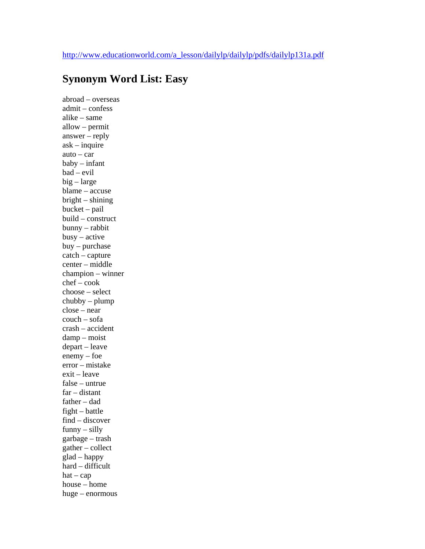## **Synonym Word List: Easy**

abroad – overseas admit – confess alike – same allow – permit answer – reply ask – inquire auto – car baby – infant bad – evil big – large blame – accuse bright – shining bucket – pail build – construct bunny – rabbit busy – active buy – purchase catch – capture center – middle champion – winner chef – cook choose – select chubby – plump close – near couch – sofa crash – accident damp – moist depart – leave enemy – foe error – mistake exit – leave false – untrue far – distant father – dad fight – battle find – discover funny – silly garbage – trash gather – collect glad – happy hard – difficult  $hat - cap$ house – home huge – enormous